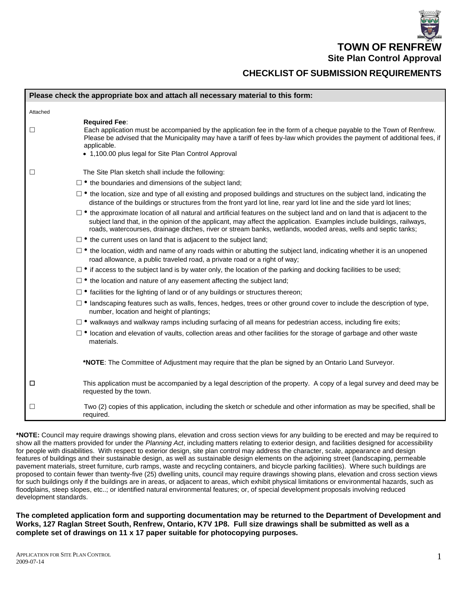**TOWN OF RENFREW Site Plan Control Approval** 

# **CHECKLIST OF SUBMISSION REQUIREMENTS**

|          | Please check the appropriate box and attach all necessary material to this form:                                                                                                                                                                                                                                                                                           |
|----------|----------------------------------------------------------------------------------------------------------------------------------------------------------------------------------------------------------------------------------------------------------------------------------------------------------------------------------------------------------------------------|
| Attached |                                                                                                                                                                                                                                                                                                                                                                            |
| □        | <b>Required Fee:</b><br>Each application must be accompanied by the application fee in the form of a cheque payable to the Town of Renfrew.<br>Please be advised that the Municipality may have a tariff of fees by-law which provides the payment of additional fees, if<br>applicable.<br>• 1,100.00 plus legal for Site Plan Control Approval                           |
| □        | The Site Plan sketch shall include the following:                                                                                                                                                                                                                                                                                                                          |
|          | $\Box$ • the boundaries and dimensions of the subject land;                                                                                                                                                                                                                                                                                                                |
|          | $\Box$ • the location, size and type of all existing and proposed buildings and structures on the subject land, indicating the<br>distance of the buildings or structures from the front yard lot line, rear yard lot line and the side yard lot lines;                                                                                                                    |
|          | $\Box$ • the approximate location of all natural and artificial features on the subject land and on land that is adjacent to the<br>subject land that, in the opinion of the applicant, may affect the application. Examples include buildings, railways,<br>roads, watercourses, drainage ditches, river or stream banks, wetlands, wooded areas, wells and septic tanks; |
|          | $\Box$ • the current uses on land that is adjacent to the subject land;                                                                                                                                                                                                                                                                                                    |
|          | $\Box$ • the location, width and name of any roads within or abutting the subject land, indicating whether it is an unopened<br>road allowance, a public traveled road, a private road or a right of way;                                                                                                                                                                  |
|          | $\square$ • if access to the subject land is by water only, the location of the parking and docking facilities to be used;                                                                                                                                                                                                                                                 |
|          | □ • the location and nature of any easement affecting the subject land;                                                                                                                                                                                                                                                                                                    |
|          | $\Box$ • facilities for the lighting of land or of any buildings or structures thereon;                                                                                                                                                                                                                                                                                    |
|          | $\Box$ • landscaping features such as walls, fences, hedges, trees or other ground cover to include the description of type,<br>number, location and height of plantings;                                                                                                                                                                                                  |
|          | $\Box$ • walkways and walkway ramps including surfacing of all means for pedestrian access, including fire exits;                                                                                                                                                                                                                                                          |
|          | $\Box$ • location and elevation of vaults, collection areas and other facilities for the storage of garbage and other waste<br>materials.                                                                                                                                                                                                                                  |
|          | *NOTE: The Committee of Adjustment may require that the plan be signed by an Ontario Land Surveyor.                                                                                                                                                                                                                                                                        |
| □        | This application must be accompanied by a legal description of the property. A copy of a legal survey and deed may be<br>requested by the town.                                                                                                                                                                                                                            |
| ⊔        | Two (2) copies of this application, including the sketch or schedule and other information as may be specified, shall be<br>required.                                                                                                                                                                                                                                      |

**\*NOTE:** Council may require drawings showing plans, elevation and cross section views for any building to be erected and may be required to show all the matters provided for under the *Planning Act*, including matters relating to exterior design, and facilities designed for accessibility for people with disabilities. With respect to exterior design, site plan control may address the character, scale, appearance and design features of buildings and their sustainable design, as well as sustainable design elements on the adjoining street (landscaping, permeable pavement materials, street furniture, curb ramps, waste and recycling containers, and bicycle parking facilities). Where such buildings are proposed to contain fewer than twenty-five (25) dwelling units, council may require drawings showing plans, elevation and cross section views for such buildings only if the buildings are in areas, or adjacent to areas, which exhibit physical limitations or environmental hazards, such as floodplains, steep slopes, etc..; or identified natural environmental features; or, of special development proposals involving reduced development standards.

**The completed application form and supporting documentation may be returned to the Department of Development and Works, 127 Raglan Street South, Renfrew, Ontario, K7V 1P8. Full size drawings shall be submitted as well as a complete set of drawings on 11 x 17 paper suitable for photocopying purposes.**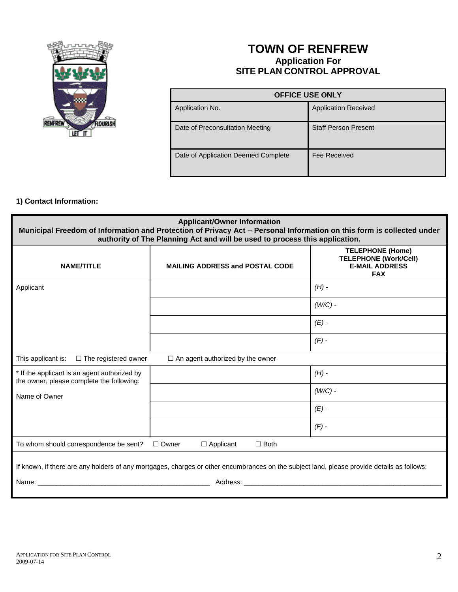

# **TOWN OF RENFREW Application For SITE PLAN CONTROL APPROVAL**

| <b>OFFICE USE ONLY</b>              |                             |  |
|-------------------------------------|-----------------------------|--|
| Application No.                     | <b>Application Received</b> |  |
| Date of Preconsultation Meeting     | <b>Staff Person Present</b> |  |
| Date of Application Deemed Complete | Fee Received                |  |

### **1) Contact Information:**

| <b>Applicant/Owner Information</b><br>Municipal Freedom of Information and Protection of Privacy Act - Personal Information on this form is collected under<br>authority of The Planning Act and will be used to process this application. |                                        |                                                                                                |  |  |  |
|--------------------------------------------------------------------------------------------------------------------------------------------------------------------------------------------------------------------------------------------|----------------------------------------|------------------------------------------------------------------------------------------------|--|--|--|
| <b>NAME/TITLE</b>                                                                                                                                                                                                                          | <b>MAILING ADDRESS and POSTAL CODE</b> | <b>TELEPHONE (Home)</b><br><b>TELEPHONE (Work/Cell)</b><br><b>E-MAIL ADDRESS</b><br><b>FAX</b> |  |  |  |
| Applicant                                                                                                                                                                                                                                  |                                        | $(H)$ -                                                                                        |  |  |  |
|                                                                                                                                                                                                                                            |                                        | $(W/C)$ -                                                                                      |  |  |  |
|                                                                                                                                                                                                                                            |                                        | $(E)$ -                                                                                        |  |  |  |
|                                                                                                                                                                                                                                            |                                        | $(F)$ -                                                                                        |  |  |  |
| This applicant is:<br>$\Box$ The registered owner<br>$\Box$ An agent authorized by the owner                                                                                                                                               |                                        |                                                                                                |  |  |  |
| * If the applicant is an agent authorized by<br>the owner, please complete the following:                                                                                                                                                  |                                        | $(H)$ -                                                                                        |  |  |  |
| Name of Owner                                                                                                                                                                                                                              |                                        | $(W/C)$ -                                                                                      |  |  |  |
|                                                                                                                                                                                                                                            |                                        | $(E)$ -                                                                                        |  |  |  |
|                                                                                                                                                                                                                                            |                                        | $(F)$ -                                                                                        |  |  |  |
| To whom should correspondence be sent?<br>$\Box$ Owner<br>$\Box$ Applicant<br>$\Box$ Both                                                                                                                                                  |                                        |                                                                                                |  |  |  |
| If known, if there are any holders of any mortgages, charges or other encumbrances on the subject land, please provide details as follows:                                                                                                 |                                        |                                                                                                |  |  |  |
| Name:<br>Address:                                                                                                                                                                                                                          |                                        |                                                                                                |  |  |  |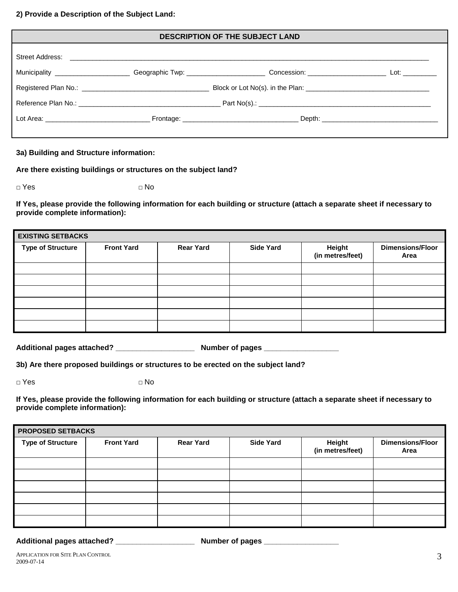#### **2) Provide a Description of the Subject Land:**

| <b>DESCRIPTION OF THE SUBJECT LAND</b> |  |                                                                                                                                         |  |
|----------------------------------------|--|-----------------------------------------------------------------------------------------------------------------------------------------|--|
|                                        |  |                                                                                                                                         |  |
|                                        |  | Municipality _______________________Geographic Twp: __________________________Concession: ___________________________Lot: _____________ |  |
|                                        |  |                                                                                                                                         |  |
|                                        |  |                                                                                                                                         |  |
|                                        |  |                                                                                                                                         |  |
|                                        |  |                                                                                                                                         |  |

### **3a) Building and Structure information:**

**Are there existing buildings or structures on the subject land?**

**□** Yes **□** No

**If Yes, please provide the following information for each building or structure (attach a separate sheet if necessary to provide complete information):**

| <b>EXISTING SETBACKS</b> |                   |                  |                  |                            |                                 |
|--------------------------|-------------------|------------------|------------------|----------------------------|---------------------------------|
| <b>Type of Structure</b> | <b>Front Yard</b> | <b>Rear Yard</b> | <b>Side Yard</b> | Height<br>(in metres/feet) | <b>Dimensions/Floor</b><br>Area |
|                          |                   |                  |                  |                            |                                 |
|                          |                   |                  |                  |                            |                                 |
|                          |                   |                  |                  |                            |                                 |
|                          |                   |                  |                  |                            |                                 |
|                          |                   |                  |                  |                            |                                 |
|                          |                   |                  |                  |                            |                                 |

**Additional pages attached? \_\_\_\_\_\_\_\_\_\_\_\_\_\_\_\_\_\_\_ Number of pages \_\_\_\_\_\_\_\_\_\_\_\_\_\_\_\_\_\_**

**3b) Are there proposed buildings or structures to be erected on the subject land?**

**□** Yes **□** No

**If Yes, please provide the following information for each building or structure (attach a separate sheet if necessary to provide complete information):**

| <b>PROPOSED SETBACKS</b> |                   |                  |                  |                            |                                 |
|--------------------------|-------------------|------------------|------------------|----------------------------|---------------------------------|
| <b>Type of Structure</b> | <b>Front Yard</b> | <b>Rear Yard</b> | <b>Side Yard</b> | Height<br>(in metres/feet) | <b>Dimensions/Floor</b><br>Area |
|                          |                   |                  |                  |                            |                                 |
|                          |                   |                  |                  |                            |                                 |
|                          |                   |                  |                  |                            |                                 |
|                          |                   |                  |                  |                            |                                 |
|                          |                   |                  |                  |                            |                                 |
|                          |                   |                  |                  |                            |                                 |

**Additional pages attached? \_\_\_\_\_\_\_\_\_\_\_\_\_\_\_\_\_\_\_ Number of pages \_\_\_\_\_\_\_\_\_\_\_\_\_\_\_\_\_\_**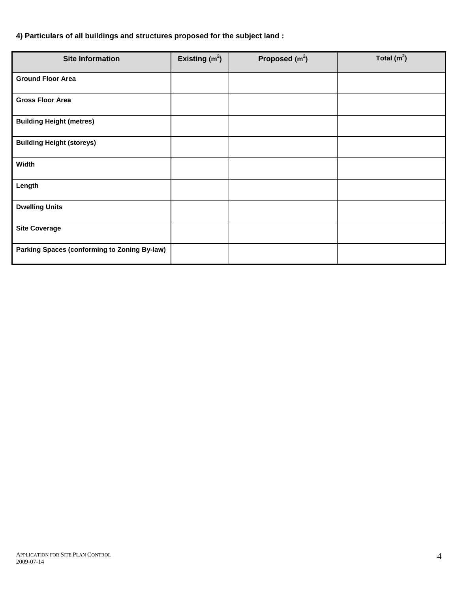## **4) Particulars of all buildings and structures proposed for the subject land :**

| <b>Site Information</b>                             | Existing $(m2)$ | Proposed $(m2)$ | Total $(m2)$ |
|-----------------------------------------------------|-----------------|-----------------|--------------|
| <b>Ground Floor Area</b>                            |                 |                 |              |
| <b>Gross Floor Area</b>                             |                 |                 |              |
| <b>Building Height (metres)</b>                     |                 |                 |              |
| <b>Building Height (storeys)</b>                    |                 |                 |              |
| Width                                               |                 |                 |              |
| Length                                              |                 |                 |              |
| <b>Dwelling Units</b>                               |                 |                 |              |
| <b>Site Coverage</b>                                |                 |                 |              |
| <b>Parking Spaces (conforming to Zoning By-law)</b> |                 |                 |              |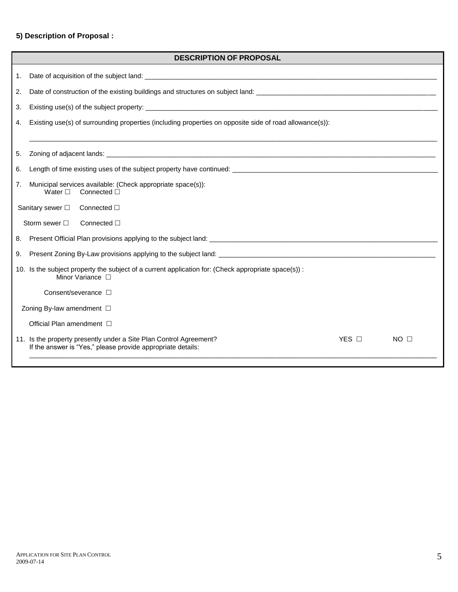## **5) Description of Proposal :**

|                | <b>DESCRIPTION OF PROPOSAL</b>                                                                                                                                      |  |  |  |  |
|----------------|---------------------------------------------------------------------------------------------------------------------------------------------------------------------|--|--|--|--|
| 1.             |                                                                                                                                                                     |  |  |  |  |
| 2.             |                                                                                                                                                                     |  |  |  |  |
| 3.             |                                                                                                                                                                     |  |  |  |  |
| 4.             | Existing use(s) of surrounding properties (including properties on opposite side of road allowance(s)):                                                             |  |  |  |  |
| 5.             |                                                                                                                                                                     |  |  |  |  |
| 6.             |                                                                                                                                                                     |  |  |  |  |
| 7 <sub>1</sub> | Municipal services available: (Check appropriate space(s)):<br>Water $\square$<br>Connected $\Box$                                                                  |  |  |  |  |
|                | Sanitary sewer □<br>Connected $\square$                                                                                                                             |  |  |  |  |
|                | Storm sewer $\square$<br>Connected $\Box$                                                                                                                           |  |  |  |  |
| 8.             |                                                                                                                                                                     |  |  |  |  |
| 9.             |                                                                                                                                                                     |  |  |  |  |
|                | 10. Is the subject property the subject of a current application for: (Check appropriate space(s)) :<br>Minor Variance $\Box$                                       |  |  |  |  |
|                | Consent/severance $\square$                                                                                                                                         |  |  |  |  |
|                | Zoning By-law amendment □                                                                                                                                           |  |  |  |  |
|                | Official Plan amendment $\Box$                                                                                                                                      |  |  |  |  |
|                | 11. Is the property presently under a Site Plan Control Agreement?<br>$YES$ $\Box$<br>$NO$ $\square$<br>If the answer is "Yes," please provide appropriate details: |  |  |  |  |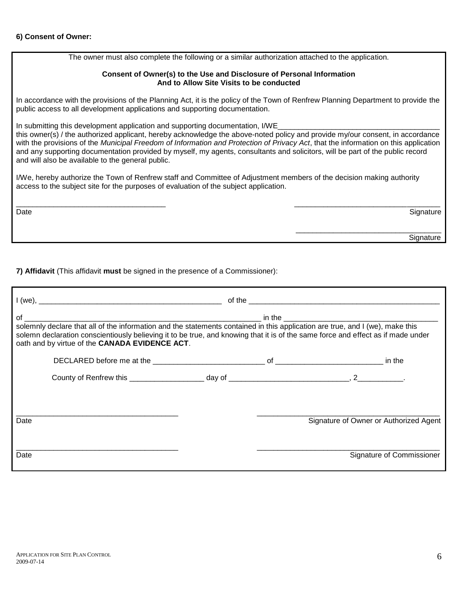### **6) Consent of Owner:**

The owner must also complete the following or a similar authorization attached to the application.

#### **Consent of Owner(s) to the Use and Disclosure of Personal Information And to Allow Site Visits to be conducted**

In accordance with the provisions of the Planning Act, it is the policy of the Town of Renfrew Planning Department to provide the public access to all development applications and supporting documentation.

In submitting this development application and supporting documentation, I/WE

this owner(s) / the authorized applicant, hereby acknowledge the above-noted policy and provide my/our consent, in accordance with the provisions of the *Municipal Freedom of Information and Protection of Privacy Act*, that the information on this application and any supporting documentation provided by myself, my agents, consultants and solicitors, will be part of the public record and will also be available to the general public.

I/We, hereby authorize the Town of Renfrew staff and Committee of Adjustment members of the decision making authority access to the subject site for the purposes of evaluation of the subject application.

\_\_\_\_\_\_\_\_\_\_\_\_\_\_\_\_\_\_\_\_\_\_\_\_\_\_\_\_\_\_\_\_\_\_\_\_ \_\_\_\_\_\_\_\_\_\_\_\_\_\_\_\_\_\_\_\_\_\_\_\_\_\_\_\_\_\_\_\_\_\_\_ Date and the Signature of the Signature of the Signature of the Signature of the Signature of the Signature of the Signature of the Signature of the Signature of the Signature of the Signature of the Signature of the Signa

\_\_\_\_\_\_\_\_\_\_\_\_\_\_\_\_\_\_\_\_\_\_\_\_\_\_\_\_\_\_\_\_\_\_\_ e de la construction de la construction de la construction de la construction de la construction de la construction de la construction de la construction de la construction de la construction de la construction de la const

**7) Affidavit** (This affidavit **must** be signed in the presence of a Commissioner):

| solemn declaration conscientiously believing it to be true, and knowing that it is of the same force and effect as if made under<br>oath and by virtue of the CANADA EVIDENCE ACT. |  |                                        |
|------------------------------------------------------------------------------------------------------------------------------------------------------------------------------------|--|----------------------------------------|
|                                                                                                                                                                                    |  |                                        |
|                                                                                                                                                                                    |  |                                        |
| Date                                                                                                                                                                               |  | Signature of Owner or Authorized Agent |
| Date                                                                                                                                                                               |  | Signature of Commissioner              |